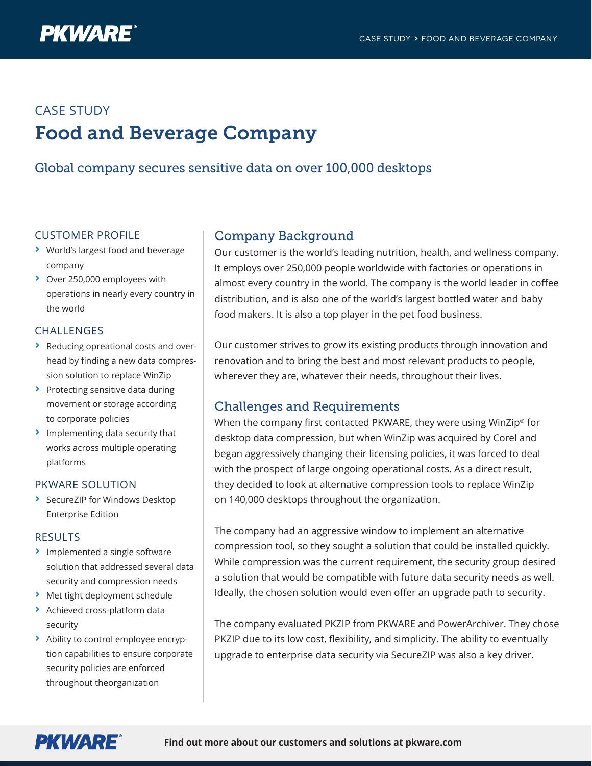

# CASE STUDY Food and Beverage Company

## Global company secures sensitive data on over 100,000 desktops

### CUSTOMER PROFILE

- **›** World's largest food and beverage company
- **›** Over 250,000 employees with operations in nearly every country in the world

#### CHALLENGES

- **›** Reducing opreational costs and overhead by finding a new data compression solution to replace WinZip
- **›** Protecting sensitive data during movement or storage according to corporate policies
- **›** Implementing data security that works across multiple operating platforms

#### PKWARE SOLUTION

**›** SecureZIP for Windows Desktop Enterprise Edition

#### RESULTS

- **›** Implemented a single software solution that addressed several data security and compression needs
- **›** Met tight deployment schedule
- **›** Achieved cross-platform data security
- **›** Ability to control employee encryption capabilities to ensure corporate security policies are enforced throughout theorganization

## Company Background

Our customer is the world's leading nutrition, health, and wellness company. It employs over 250,000 people worldwide with factories or operations in almost every country in the world. The company is the world leader in coffee distribution, and is also one of the world's largest bottled water and baby food makers. It is also a top player in the pet food business.

Our customer strives to grow its existing products through innovation and renovation and to bring the best and most relevant products to people, wherever they are, whatever their needs, throughout their lives.

## Challenges and Requirements

When the company first contacted PKWARE, they were using WinZip® for desktop data compression, but when WinZip was acquired by Corel and began aggressively changing their licensing policies, it was forced to deal with the prospect of large ongoing operational costs. As a direct result, they decided to look at alternative compression tools to replace WinZip on 140,000 desktops throughout the organization.

The company had an aggressive window to implement an alternative compression tool, so they sought a solution that could be installed quickly. While compression was the current requirement, the security group desired a solution that would be compatible with future data security needs as well. Ideally, the chosen solution would even offer an upgrade path to security.

The company evaluated PKZIP from PKWARE and PowerArchiver. They chose PKZIP due to its low cost, flexibility, and simplicity. The ability to eventually upgrade to enterprise data security via SecureZIP was also a key driver.